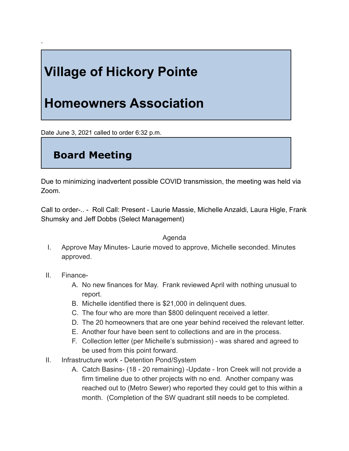# **Village of Hickory Pointe**

## **Homeowners Association**

Date June 3, 2021 called to order 6:32 p.m.

### **Board Meeting**

Due to minimizing inadvertent possible COVID transmission, the meeting was held via Zoom.

Call to order-.. - Roll Call: Present - Laurie Massie, Michelle Anzaldi, Laura Higle, Frank Shumsky and Jeff Dobbs (Select Management)

### Agenda

I. Approve May Minutes- Laurie moved to approve, Michelle seconded. Minutes approved.

### II. Finance-

`

- A. No new finances for May. Frank reviewed April with nothing unusual to report.
- B. Michelle identified there is \$21,000 in delinquent dues.
- C. The four who are more than \$800 delinquent received a letter.
- D. The 20 homeowners that are one year behind received the relevant letter.
- E. Another four have been sent to collections and are in the process.
- F. Collection letter (per Michelle's submission) was shared and agreed to be used from this point forward.
- II. Infrastructure work Detention Pond/System
	- A. Catch Basins- (18 20 remaining) -Update Iron Creek will not provide a firm timeline due to other projects with no end. Another company was reached out to (Metro Sewer) who reported they could get to this within a month. (Completion of the SW quadrant still needs to be completed.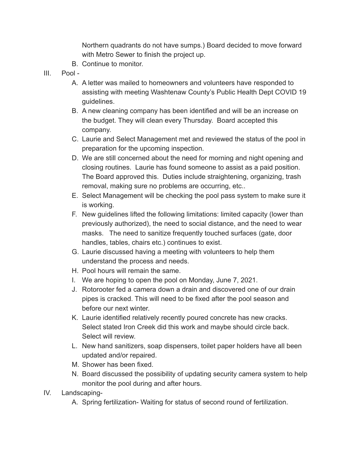Northern quadrants do not have sumps.) Board decided to move forward with Metro Sewer to finish the project up.

- B. Continue to monitor.
- III. Pool -
	- A. A letter was mailed to homeowners and volunteers have responded to assisting with meeting Washtenaw County's Public Health Dept COVID 19 guidelines.
	- B. A new cleaning company has been identified and will be an increase on the budget. They will clean every Thursday. Board accepted this company.
	- C. Laurie and Select Management met and reviewed the status of the pool in preparation for the upcoming inspection.
	- D. We are still concerned about the need for morning and night opening and closing routines. Laurie has found someone to assist as a paid position. The Board approved this. Duties include straightening, organizing, trash removal, making sure no problems are occurring, etc..
	- E. Select Management will be checking the pool pass system to make sure it is working.
	- F. New guidelines lifted the following limitations: limited capacity (lower than previously authorized), the need to social distance, and the need to wear masks. The need to sanitize frequently touched surfaces (gate, door handles, tables, chairs etc.) continues to exist.
	- G. Laurie discussed having a meeting with volunteers to help them understand the process and needs.
	- H. Pool hours will remain the same.
	- I. We are hoping to open the pool on Monday, June 7, 2021.
	- J. Rotorooter fed a camera down a drain and discovered one of our drain pipes is cracked. This will need to be fixed after the pool season and before our next winter.
	- K. Laurie identified relatively recently poured concrete has new cracks. Select stated Iron Creek did this work and maybe should circle back. Select will review.
	- L. New hand sanitizers, soap dispensers, toilet paper holders have all been updated and/or repaired.
	- M. Shower has been fixed.
	- N. Board discussed the possibility of updating security camera system to help monitor the pool during and after hours.
- IV. Landscaping-
	- A. Spring fertilization- Waiting for status of second round of fertilization.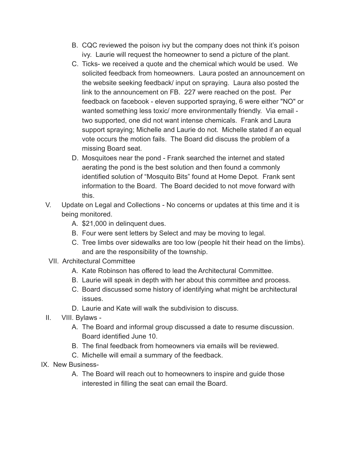- B. CQC reviewed the poison ivy but the company does not think it's poison ivy. Laurie will request the homeowner to send a picture of the plant.
- C. Ticks- we received a quote and the chemical which would be used. We solicited feedback from homeowners. Laura posted an announcement on the website seeking feedback/ input on spraying. Laura also posted the link to the announcement on FB. 227 were reached on the post. Per feedback on facebook - eleven supported spraying, 6 were either "NO" or wanted something less toxic/ more environmentally friendly. Via email two supported, one did not want intense chemicals. Frank and Laura support spraying; Michelle and Laurie do not. Michelle stated if an equal vote occurs the motion fails. The Board did discuss the problem of a missing Board seat.
- D. Mosquitoes near the pond Frank searched the internet and stated aerating the pond is the best solution and then found a commonly identified solution of "Mosquito Bits" found at Home Depot. Frank sent information to the Board. The Board decided to not move forward with this.
- V. Update on Legal and Collections No concerns or updates at this time and it is being monitored.
	- A. \$21,000 in delinquent dues.
	- B. Four were sent letters by Select and may be moving to legal.
	- C. Tree limbs over sidewalks are too low (people hit their head on the limbs). and are the responsibility of the township.
- VII. Architectural Committee
	- A. Kate Robinson has offered to lead the Architectural Committee.
	- B. Laurie will speak in depth with her about this committee and process.
	- C. Board discussed some history of identifying what might be architectural issues.
	- D. Laurie and Kate will walk the subdivision to discuss.
- II. VIII. Bylaws
	- A. The Board and informal group discussed a date to resume discussion. Board identified June 10.
	- B. The final feedback from homeowners via emails will be reviewed.
	- C. Michelle will email a summary of the feedback.
- IX. New Business-
	- A. The Board will reach out to homeowners to inspire and guide those interested in filling the seat can email the Board.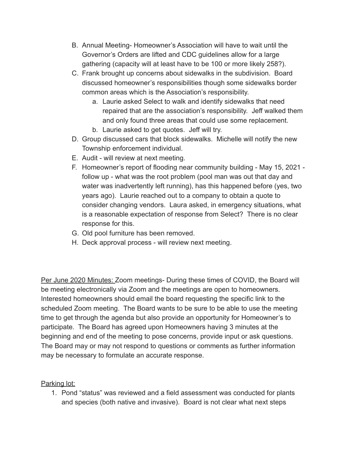- B. Annual Meeting- Homeowner's Association will have to wait until the Governor's Orders are lifted and CDC guidelines allow for a large gathering (capacity will at least have to be 100 or more likely 258?).
- C. Frank brought up concerns about sidewalks in the subdivision. Board discussed homeowner's responsibilities though some sidewalks border common areas which is the Association's responsibility.
	- a. Laurie asked Select to walk and identify sidewalks that need repaired that are the association's responsibility. Jeff walked them and only found three areas that could use some replacement.
	- b. Laurie asked to get quotes. Jeff will try.
- D. Group discussed cars that block sidewalks. Michelle will notify the new Township enforcement individual.
- E. Audit will review at next meeting.
- F. Homeowner's report of flooding near community building May 15, 2021 follow up - what was the root problem (pool man was out that day and water was inadvertently left running), has this happened before (yes, two years ago). Laurie reached out to a company to obtain a quote to consider changing vendors. Laura asked, in emergency situations, what is a reasonable expectation of response from Select? There is no clear response for this.
- G. Old pool furniture has been removed.
- H. Deck approval process will review next meeting.

Per June 2020 Minutes: Zoom meetings- During these times of COVID, the Board will be meeting electronically via Zoom and the meetings are open to homeowners. Interested homeowners should email the board requesting the specific link to the scheduled Zoom meeting. The Board wants to be sure to be able to use the meeting time to get through the agenda but also provide an opportunity for Homeowner's to participate. The Board has agreed upon Homeowners having 3 minutes at the beginning and end of the meeting to pose concerns, provide input or ask questions. The Board may or may not respond to questions or comments as further information may be necessary to formulate an accurate response.

Parking lot:

1. Pond "status" was reviewed and a field assessment was conducted for plants and species (both native and invasive). Board is not clear what next steps